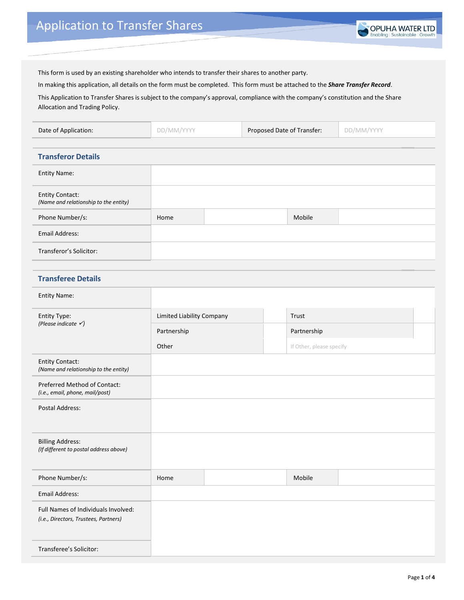

This form is used by an existing shareholder who intends to transfer their shares to another party.

In making this application, all details on the form must be completed. This form must be attached to the *Share Transfer Record*.

This Application to Transfer Shares is subject to the company's approval, compliance with the company's constitution and the Share Allocation and Trading Policy.

| Date of Application:                                                         | DD/MM/YYYY                       |  | Proposed Date of Transfer: |                          | DD/MM/YYYY |  |
|------------------------------------------------------------------------------|----------------------------------|--|----------------------------|--------------------------|------------|--|
|                                                                              |                                  |  |                            |                          |            |  |
| <b>Transferor Details</b>                                                    |                                  |  |                            |                          |            |  |
| <b>Entity Name:</b>                                                          |                                  |  |                            |                          |            |  |
| <b>Entity Contact:</b><br>(Name and relationship to the entity)              |                                  |  |                            |                          |            |  |
| Phone Number/s:                                                              | Home                             |  |                            | Mobile                   |            |  |
| <b>Email Address:</b>                                                        |                                  |  |                            |                          |            |  |
| Transferor's Solicitor:                                                      |                                  |  |                            |                          |            |  |
| <b>Transferee Details</b>                                                    |                                  |  |                            |                          |            |  |
| <b>Entity Name:</b>                                                          |                                  |  |                            |                          |            |  |
| Entity Type:                                                                 | <b>Limited Liability Company</b> |  |                            | Trust                    |            |  |
| (Please indicate $\checkmark$ )                                              | Partnership                      |  |                            | Partnership              |            |  |
|                                                                              | Other                            |  |                            | If Other, please specify |            |  |
| <b>Entity Contact:</b><br>(Name and relationship to the entity)              |                                  |  |                            |                          |            |  |
| Preferred Method of Contact:<br>(i.e., email, phone, mail/post)              |                                  |  |                            |                          |            |  |
| Postal Address:                                                              |                                  |  |                            |                          |            |  |
|                                                                              |                                  |  |                            |                          |            |  |
| <b>Billing Address:</b><br>(If different to postal address above)            |                                  |  |                            |                          |            |  |
| Phone Number/s:                                                              | Home                             |  |                            | Mobile                   |            |  |
| Email Address:                                                               |                                  |  |                            |                          |            |  |
| Full Names of Individuals Involved:<br>(i.e., Directors, Trustees, Partners) |                                  |  |                            |                          |            |  |
| Transferee's Solicitor:                                                      |                                  |  |                            |                          |            |  |
|                                                                              |                                  |  |                            |                          |            |  |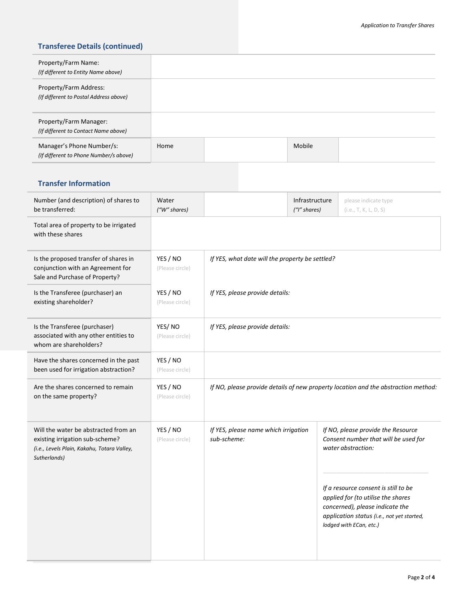# **Transferee Details (continued)**

| Property/Farm Name:<br>(If different to Entity Name above)          |      |        |  |
|---------------------------------------------------------------------|------|--------|--|
| Property/Farm Address:<br>(If different to Postal Address above)    |      |        |  |
| Property/Farm Manager:<br>(If different to Contact Name above)      |      |        |  |
| Manager's Phone Number/s:<br>(If different to Phone Number/s above) | Home | Mobile |  |

## **Transfer Information**

| Number (and description) of shares to<br>be transferred:                                                                               | Water<br>("W" shares)       |                                                     | Infrastructure<br>("I" shares) | please indicate type<br>(i.e., T, K, L, D, S)                                                                                                                                                                                                                                              |
|----------------------------------------------------------------------------------------------------------------------------------------|-----------------------------|-----------------------------------------------------|--------------------------------|--------------------------------------------------------------------------------------------------------------------------------------------------------------------------------------------------------------------------------------------------------------------------------------------|
| Total area of property to be irrigated<br>with these shares                                                                            |                             |                                                     |                                |                                                                                                                                                                                                                                                                                            |
| Is the proposed transfer of shares in<br>conjunction with an Agreement for<br>Sale and Purchase of Property?                           | YES / NO<br>(Please circle) | If YES, what date will the property be settled?     |                                |                                                                                                                                                                                                                                                                                            |
| Is the Transferee (purchaser) an<br>existing shareholder?                                                                              | YES / NO<br>(Please circle) | If YES, please provide details:                     |                                |                                                                                                                                                                                                                                                                                            |
| Is the Transferee (purchaser)<br>associated with any other entities to<br>whom are shareholders?                                       | YES/NO<br>(Please circle)   | If YES, please provide details:                     |                                |                                                                                                                                                                                                                                                                                            |
| Have the shares concerned in the past<br>been used for irrigation abstraction?                                                         | YES / NO<br>(Please circle) |                                                     |                                |                                                                                                                                                                                                                                                                                            |
| Are the shares concerned to remain<br>on the same property?                                                                            | YES / NO<br>(Please circle) |                                                     |                                | If NO, please provide details of new property location and the abstraction method:                                                                                                                                                                                                         |
| Will the water be abstracted from an<br>existing irrigation sub-scheme?<br>(i.e., Levels Plain, Kakahu, Totara Valley,<br>Sutherlands) | YES / NO<br>(Please circle) | If YES, please name which irrigation<br>sub-scheme: |                                | If NO, please provide the Resource<br>Consent number that will be used for<br>water abstraction:<br>If a resource consent is still to be<br>applied for (to utilise the shares<br>concerned), please indicate the<br>application status (i.e., not yet started,<br>lodged with ECan, etc.) |
|                                                                                                                                        |                             |                                                     |                                |                                                                                                                                                                                                                                                                                            |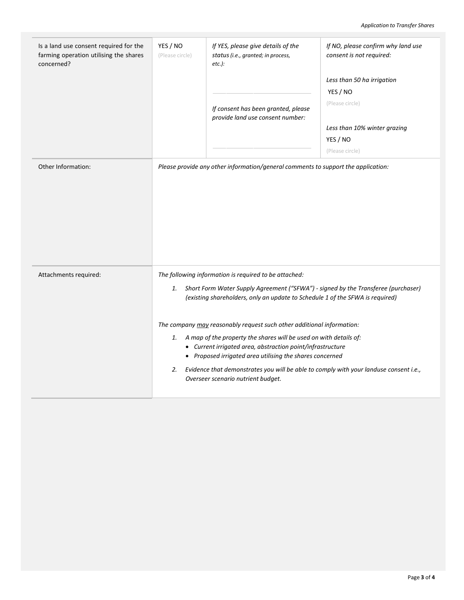| Is a land use consent required for the<br>farming operation utilising the shares<br>concerned? | YES / NO<br>(Please circle)                                                                                                                                                                                                                                                                                                                                                                                     | If YES, please give details of the<br>status (i.e., granted; in process,<br>$etc.$ ):                                                                              | If NO, please confirm why land use<br>consent is not required: |  |
|------------------------------------------------------------------------------------------------|-----------------------------------------------------------------------------------------------------------------------------------------------------------------------------------------------------------------------------------------------------------------------------------------------------------------------------------------------------------------------------------------------------------------|--------------------------------------------------------------------------------------------------------------------------------------------------------------------|----------------------------------------------------------------|--|
|                                                                                                |                                                                                                                                                                                                                                                                                                                                                                                                                 | If consent has been granted, please                                                                                                                                | Less than 50 ha irrigation<br>YES / NO<br>(Please circle)      |  |
|                                                                                                |                                                                                                                                                                                                                                                                                                                                                                                                                 | provide land use consent number:                                                                                                                                   | Less than 10% winter grazing<br>YES / NO<br>(Please circle)    |  |
| Other Information:                                                                             |                                                                                                                                                                                                                                                                                                                                                                                                                 | Please provide any other information/general comments to support the application:                                                                                  |                                                                |  |
| Attachments required:                                                                          | The following information is required to be attached:<br>1.                                                                                                                                                                                                                                                                                                                                                     | Short Form Water Supply Agreement ("SFWA") - signed by the Transferee (purchaser)<br>(existing shareholders, only an update to Schedule 1 of the SFWA is required) |                                                                |  |
|                                                                                                | The company may reasonably request such other additional information:<br>A map of the property the shares will be used on with details of:<br>1.<br>• Current irrigated area, abstraction point/infrastructure<br>• Proposed irrigated area utilising the shares concerned<br>Evidence that demonstrates you will be able to comply with your landuse consent i.e.,<br>2.<br>Overseer scenario nutrient budget. |                                                                                                                                                                    |                                                                |  |